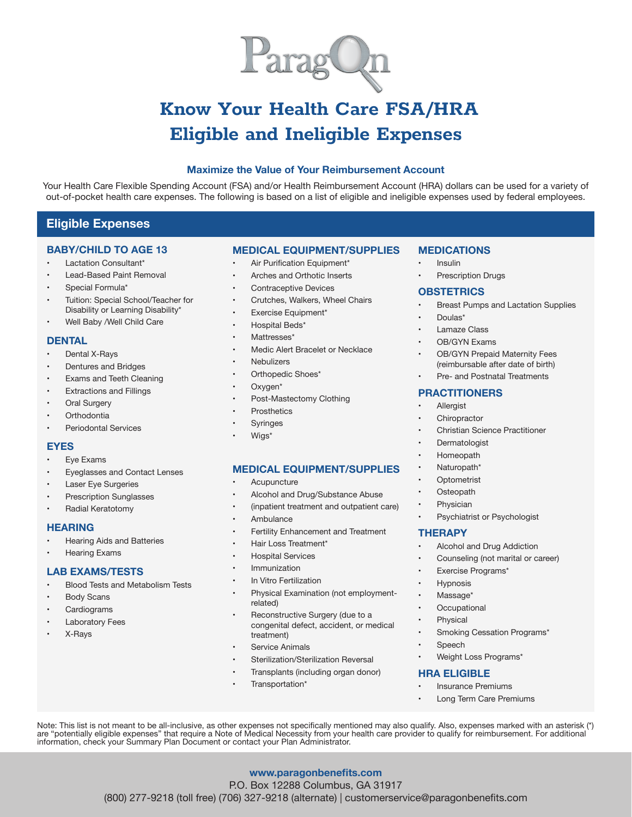

# Know Your Health Care FSA/HRA Eligible and Ineligible Expenses

## **Maximize the Value of Your Reimbursement Account**

Your Health Care Flexible Spending Account (FSA) and/or Health Reimbursement Account (HRA) dollars can be used for a variety of out-of-pocket health care expenses. The following is based on a list of eligible and ineligible expenses used by federal employees.

## **Eligible Expenses**

#### **BABY/CHILD TO AGE 13**

- Lactation Consultant\*
- **Lead-Based Paint Removal**
- Special Formula\*
- Tuition: Special School/Teacher for
- Disability or Learning Disability\* Well Baby /Well Child Care

#### **DENTAL**

- Dental X-Rays
- **Dentures and Bridges**
- **Exams and Teeth Cleaning**
- **Extractions and Fillings**
- **Oral Surgery**
- **Orthodontia**
- Periodontal Services

#### **EYES**

- Eye Exams
- Eyeglasses and Contact Lenses
- **Laser Eye Surgeries**
- **Prescription Sunglasses**
- Radial Keratotomy

#### **HEARING**

- **Hearing Aids and Batteries**
- **Hearing Exams**

#### **LAB EXAMS/TESTS**

- Blood Tests and Metabolism Tests
- **Body Scans**
- **Cardiograms**
- **Laboratory Fees**
- X-Rays

## **MEDICAL EQUIPMENT/SUPPLIES**

- Air Purification Equipment\*
- Arches and Orthotic Inserts
- Contraceptive Devices
- Crutches, Walkers, Wheel Chairs
- Exercise Equipment\*
- Hospital Beds\*
- Mattresses\*
- Medic Alert Bracelet or Necklace
- **Nebulizers**
- Orthopedic Shoes\*
- Oxygen\*
- Post-Mastectomy Clothing
- **Prosthetics**
- **Syringes**
- Wigs<sup>\*</sup>

## **MEDICAL EQUIPMENT/SUPPLIES**

- **Acupuncture**
- Alcohol and Drug/Substance Abuse
- (inpatient treatment and outpatient care)
- **Ambulance**
- Fertility Enhancement and Treatment
- Hair Loss Treatment\*
- **Hospital Services**
- **Immunization**
- In Vitro Fertilization
- Physical Examination (not employmentrelated)
- Reconstructive Surgery (due to a congenital defect, accident, or medical treatment)

**www.paragonbenefits.com** P.O. Box 12288 Columbus, GA 31917 (800) 277-9218 (toll free) (706) 327-9218 (alternate) | customerservice@paragonbenefits.com

Note: This list is not meant to be all-inclusive, as other expenses not specifically mentioned may also qualify. Also, expenses marked with an asterisk (\*) are "potentially eligible expenses" that require a Note of Medical Necessity from your health care provider to qualify for reimbursement. For additional

- Service Animals
- Sterilization/Sterilization Reversal
- Transplants (including organ donor)
- Transportation\*

information, check your Summary Plan Document or contact your Plan Administrator.

## **MEDICATIONS**

- **Insulin**
- **Prescription Drugs**

## **OBSTETRICS**

- **Breast Pumps and Lactation Supplies**
- Doulas\*
- **Lamaze Class**
- OB/GYN Exams
- OB/GYN Prepaid Maternity Fees (reimbursable after date of birth)
- Pre- and Postnatal Treatments

#### **PRACTITIONERS**

- **Allergist**
- Chiropractor
- **Christian Science Practitioner**
- **Dermatologist**
- **Homeopath**
- Naturopath\*
- **Optometrist**
- **Osteopath**
- Physician
- Psychiatrist or Psychologist

#### **THERAPY**

- Alcohol and Drug Addiction
- Counseling (not marital or career)
- Exercise Programs\*
- **Hypnosis**
- Massage\*
- **Occupational**
- Physical
- Smoking Cessation Programs\*

Long Term Care Premiums

- **Speech**
- Weight Loss Programs\*

#### **HRA ELIGIBLE**

**Insurance Premiums**